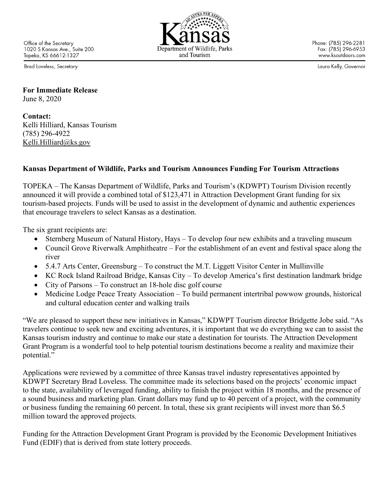Office of the Secretary 1020 S Kansas Ave., Suite 200 Topeka, KS 66612-1327

Brad Loveless, Secretary

and Tourism

Phone: (785) 296-2281 Fax: (785) 296-6953 www.ksoutdoors.com

Laura Kelly, Governor

**For Immediate Release** June 8, 2020

**Contact:** Kelli Hilliard, Kansas Tourism (785) 296-4922 [Kelli.Hilliard@ks.gov](file://SAMBA1/TandT/Tourism%20Conference/2017/Kelli.Hilliard@ks.gov)

## **Kansas Department of Wildlife, Parks and Tourism Announces Funding For Tourism Attractions**

TOPEKA – The Kansas Department of Wildlife, Parks and Tourism's (KDWPT) Tourism Division recently announced it will provide a combined total of \$123,471 in Attraction Development Grant funding for six tourism-based projects. Funds will be used to assist in the development of dynamic and authentic experiences that encourage travelers to select Kansas as a destination.

The six grant recipients are:

- Sternberg Museum of Natural History, Hays To develop four new exhibits and a traveling museum
- Council Grove Riverwalk Amphitheatre For the establishment of an event and festival space along the river
- 5.4.7 Arts Center, Greensburg To construct the M.T. Liggett Visitor Center in Mullinville
- KC Rock Island Railroad Bridge, Kansas City To develop America's first destination landmark bridge
- City of Parsons To construct an 18-hole disc golf course
- Medicine Lodge Peace Treaty Association To build permanent intertribal powwow grounds, historical and cultural education center and walking trails

"We are pleased to support these new initiatives in Kansas," KDWPT Tourism director Bridgette Jobe said. "As travelers continue to seek new and exciting adventures, it is important that we do everything we can to assist the Kansas tourism industry and continue to make our state a destination for tourists. The Attraction Development Grant Program is a wonderful tool to help potential tourism destinations become a reality and maximize their potential."

Applications were reviewed by a committee of three Kansas travel industry representatives appointed by KDWPT Secretary Brad Loveless. The committee made its selections based on the projects' economic impact to the state, availability of leveraged funding, ability to finish the project within 18 months, and the presence of a sound business and marketing plan. Grant dollars may fund up to 40 percent of a project, with the community or business funding the remaining 60 percent. In total, these six grant recipients will invest more than \$6.5 million toward the approved projects.

Funding for the Attraction Development Grant Program is provided by the Economic Development Initiatives Fund (EDIF) that is derived from state lottery proceeds.